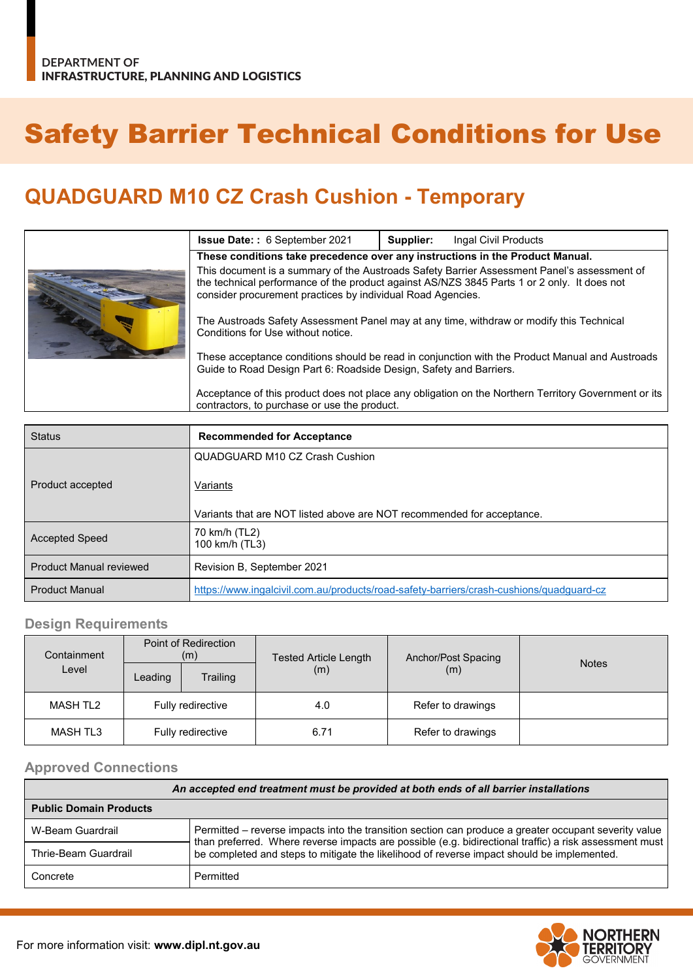# Safety Barrier Technical Conditions for Use

## **QUADGUARD M10 CZ Crash Cushion - Temporary**

|  | <b>Issue Date:: 6 September 2021</b>                                                                                                                                                                                                                      | Supplier: | Ingal Civil Products |  |  |
|--|-----------------------------------------------------------------------------------------------------------------------------------------------------------------------------------------------------------------------------------------------------------|-----------|----------------------|--|--|
|  | These conditions take precedence over any instructions in the Product Manual.                                                                                                                                                                             |           |                      |  |  |
|  | This document is a summary of the Austroads Safety Barrier Assessment Panel's assessment of<br>the technical performance of the product against AS/NZS 3845 Parts 1 or 2 only. It does not<br>consider procurement practices by individual Road Agencies. |           |                      |  |  |
|  | The Austroads Safety Assessment Panel may at any time, withdraw or modify this Technical<br>Conditions for Use without notice.                                                                                                                            |           |                      |  |  |
|  | These acceptance conditions should be read in conjunction with the Product Manual and Austroads<br>Guide to Road Design Part 6: Roadside Design, Safety and Barriers.                                                                                     |           |                      |  |  |
|  | Acceptance of this product does not place any obligation on the Northern Territory Government or its<br>contractors, to purchase or use the product.                                                                                                      |           |                      |  |  |

| <b>Status</b>                  | <b>Recommended for Acceptance</b>                                                       |  |  |
|--------------------------------|-----------------------------------------------------------------------------------------|--|--|
|                                | QUADGUARD M10 CZ Crash Cushion                                                          |  |  |
| Product accepted               | Variants                                                                                |  |  |
|                                | Variants that are NOT listed above are NOT recommended for acceptance.                  |  |  |
| <b>Accepted Speed</b>          | 70 km/h (TL2)<br>100 km/h (TL3)                                                         |  |  |
| <b>Product Manual reviewed</b> | Revision B, September 2021                                                              |  |  |
| <b>Product Manual</b>          | https://www.ingalcivil.com.au/products/road-safety-barriers/crash-cushions/guadquard-cz |  |  |

#### **Design Requirements**

| Containment     | Point of Redirection<br>(m) |          | <b>Tested Article Length</b> | Anchor/Post Spacing | <b>Notes</b> |
|-----------------|-----------------------------|----------|------------------------------|---------------------|--------------|
| Level           | Leading                     | Trailing | (m)                          | (m)                 |              |
| MASH TL2        | Fully redirective           |          | 4.0                          | Refer to drawings   |              |
| <b>MASH TL3</b> | Fully redirective           |          | 6.71                         | Refer to drawings   |              |

#### **Approved Connections**

| An accepted end treatment must be provided at both ends of all barrier installations |                                                                                                                                                                                                                 |  |  |
|--------------------------------------------------------------------------------------|-----------------------------------------------------------------------------------------------------------------------------------------------------------------------------------------------------------------|--|--|
| <b>Public Domain Products</b>                                                        |                                                                                                                                                                                                                 |  |  |
| W-Beam Guardrail                                                                     | Permitted – reverse impacts into the transition section can produce a greater occupant severity value<br>than preferred. Where reverse impacts are possible (e.g. bidirectional traffic) a risk assessment must |  |  |
| Thrie-Beam Guardrail                                                                 | be completed and steps to mitigate the likelihood of reverse impact should be implemented.                                                                                                                      |  |  |
| Concrete                                                                             | Permitted                                                                                                                                                                                                       |  |  |